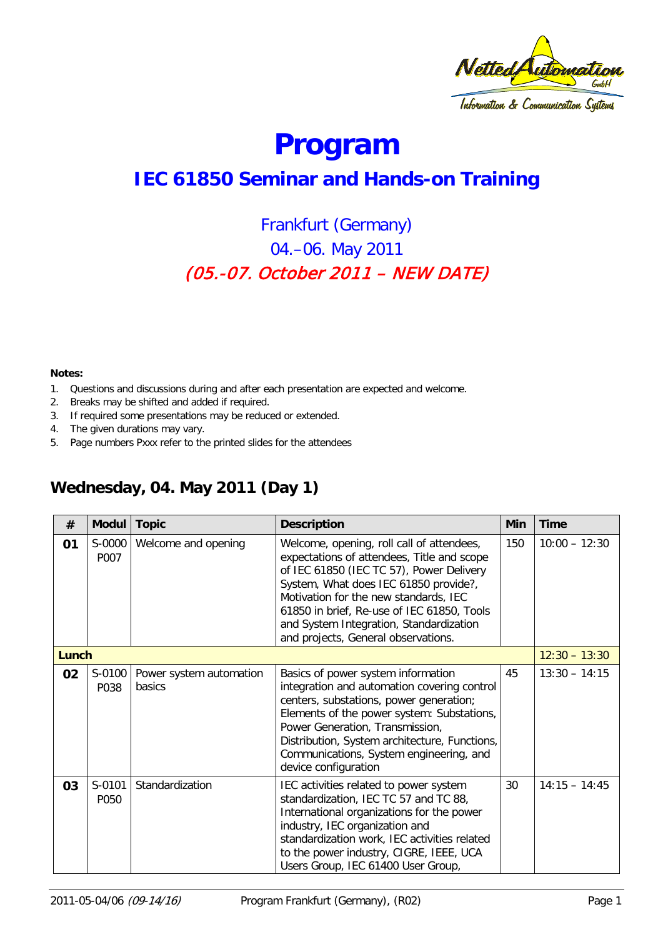

# **Program**

# **IEC 61850 Seminar and Hands-on Training**

## Frankfurt (Germany) 04.–06. May 2011 (05.-07. October 2011 – NEW DATE)

#### **Notes:**

- 1. Questions and discussions during and after each presentation are expected and welcome.
- 2. Breaks may be shifted and added if required.
- 3. If required some presentations may be reduced or extended.
- 4. The given durations may vary.
- 5. Page numbers Pxxx refer to the printed slides for the attendees

### **Wednesday, 04. May 2011 (Day 1)**

| #     | <b>Modul</b>   | <b>Topic</b>                      | <b>Description</b>                                                                                                                                                                                                                                                                                                                                    | Min | Time            |
|-------|----------------|-----------------------------------|-------------------------------------------------------------------------------------------------------------------------------------------------------------------------------------------------------------------------------------------------------------------------------------------------------------------------------------------------------|-----|-----------------|
| 01    | S-0000<br>P007 | Welcome and opening               | Welcome, opening, roll call of attendees,<br>expectations of attendees, Title and scope<br>of IEC 61850 (IEC TC 57), Power Delivery<br>System, What does IEC 61850 provide?,<br>Motivation for the new standards, IEC<br>61850 in brief, Re-use of IEC 61850, Tools<br>and System Integration, Standardization<br>and projects, General observations. | 150 | $10:00 - 12:30$ |
| Lunch |                |                                   |                                                                                                                                                                                                                                                                                                                                                       |     | $12:30 - 13:30$ |
| 02    | S-0100<br>P038 | Power system automation<br>basics | Basics of power system information<br>integration and automation covering control<br>centers, substations, power generation;<br>Elements of the power system: Substations,<br>Power Generation, Transmission,<br>Distribution, System architecture, Functions,<br>Communications, System engineering, and<br>device configuration                     | 45  | $13:30 - 14:15$ |
| 03    | S-0101<br>P050 | Standardization                   | IEC activities related to power system<br>standardization, IEC TC 57 and TC 88,<br>International organizations for the power<br>industry, IEC organization and<br>standardization work, IEC activities related<br>to the power industry, CIGRE, IEEE, UCA<br>Users Group, IEC 61400 User Group,                                                       | 30  | $14:15 - 14:45$ |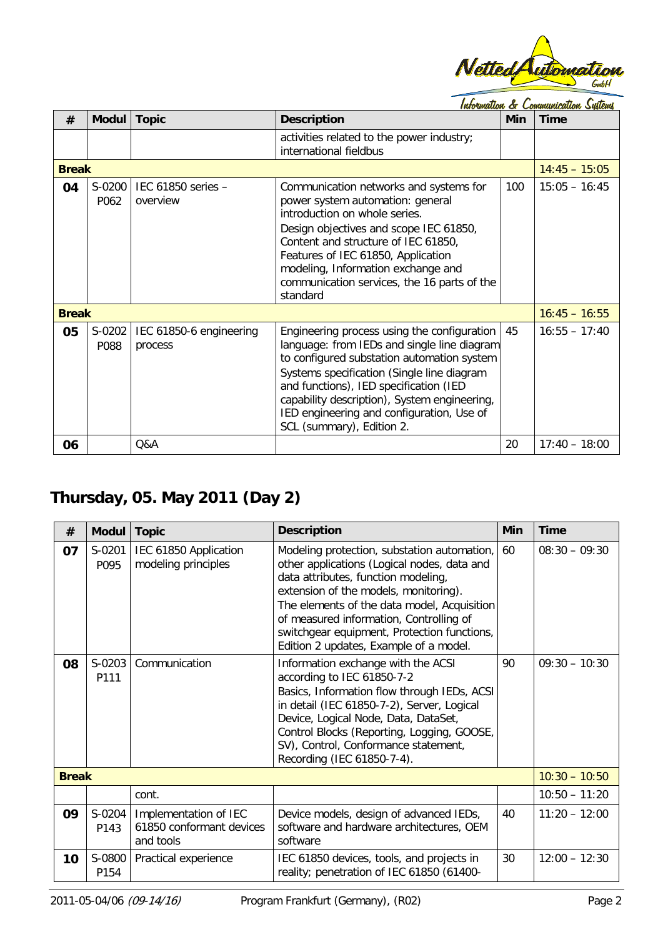

|              |                | Information & Communication Systems |                                                                                                                                                                                                                                                                                                                                                            |            |                 |
|--------------|----------------|-------------------------------------|------------------------------------------------------------------------------------------------------------------------------------------------------------------------------------------------------------------------------------------------------------------------------------------------------------------------------------------------------------|------------|-----------------|
| #            | <b>Modul</b>   | <b>Topic</b>                        | <b>Description</b>                                                                                                                                                                                                                                                                                                                                         | <b>Min</b> | <b>Time</b>     |
|              |                |                                     | activities related to the power industry;<br>international fieldbus                                                                                                                                                                                                                                                                                        |            |                 |
| <b>Break</b> |                |                                     |                                                                                                                                                                                                                                                                                                                                                            |            | $14:45 - 15:05$ |
| 04           | S-0200<br>P062 | IEC 61850 series -<br>overview      | Communication networks and systems for<br>power system automation: general<br>introduction on whole series.<br>Design objectives and scope IEC 61850,<br>Content and structure of IEC 61850,<br>Features of IEC 61850, Application<br>modeling, Information exchange and<br>communication services, the 16 parts of the<br>standard                        | 100        | $15:05 - 16:45$ |
| <b>Break</b> |                |                                     |                                                                                                                                                                                                                                                                                                                                                            |            | $16:45 - 16:55$ |
| 05           | S-0202<br>P088 | IEC 61850-6 engineering<br>process  | Engineering process using the configuration<br>language: from IEDs and single line diagram<br>to configured substation automation system<br>Systems specification (Single line diagram<br>and functions), IED specification (IED<br>capability description), System engineering,<br>IED engineering and configuration, Use of<br>SCL (summary), Edition 2. | 45         | $16:55 - 17:40$ |
| 06           |                | Q&A                                 |                                                                                                                                                                                                                                                                                                                                                            | 20         | $17:40 - 18:00$ |

## **Thursday, 05. May 2011 (Day 2)**

| #            | <b>Modul</b>   | <b>Topic</b>                                                   | <b>Description</b>                                                                                                                                                                                                                                                                                                                                            | Min | <b>Time</b>     |
|--------------|----------------|----------------------------------------------------------------|---------------------------------------------------------------------------------------------------------------------------------------------------------------------------------------------------------------------------------------------------------------------------------------------------------------------------------------------------------------|-----|-----------------|
| 07           | S-0201<br>P095 | IEC 61850 Application<br>modeling principles                   | Modeling protection, substation automation,<br>other applications (Logical nodes, data and<br>data attributes, function modeling,<br>extension of the models, monitoring).<br>The elements of the data model, Acquisition<br>of measured information, Controlling of<br>switchgear equipment, Protection functions,<br>Edition 2 updates, Example of a model. | 60  | $08:30 - 09:30$ |
| 08           | S-0203<br>P111 | Communication                                                  | Information exchange with the ACSI<br>according to IEC 61850-7-2<br>Basics, Information flow through IEDs, ACSI<br>in detail (IEC 61850-7-2), Server, Logical<br>Device, Logical Node, Data, DataSet,<br>Control Blocks (Reporting, Logging, GOOSE,<br>SV), Control, Conformance statement,<br>Recording (IEC 61850-7-4).                                     | 90  | $09:30 - 10:30$ |
| <b>Break</b> |                |                                                                |                                                                                                                                                                                                                                                                                                                                                               |     | $10:30 - 10:50$ |
|              |                | cont.                                                          |                                                                                                                                                                                                                                                                                                                                                               |     | $10:50 - 11:20$ |
| 09           | S-0204<br>P143 | Implementation of IEC<br>61850 conformant devices<br>and tools | Device models, design of advanced IEDs,<br>software and hardware architectures, OEM<br>software                                                                                                                                                                                                                                                               | 40  | $11:20 - 12:00$ |
| 10           | S-0800<br>P154 | Practical experience                                           | IEC 61850 devices, tools, and projects in<br>reality; penetration of IEC 61850 (61400-                                                                                                                                                                                                                                                                        | 30  | $12:00 - 12:30$ |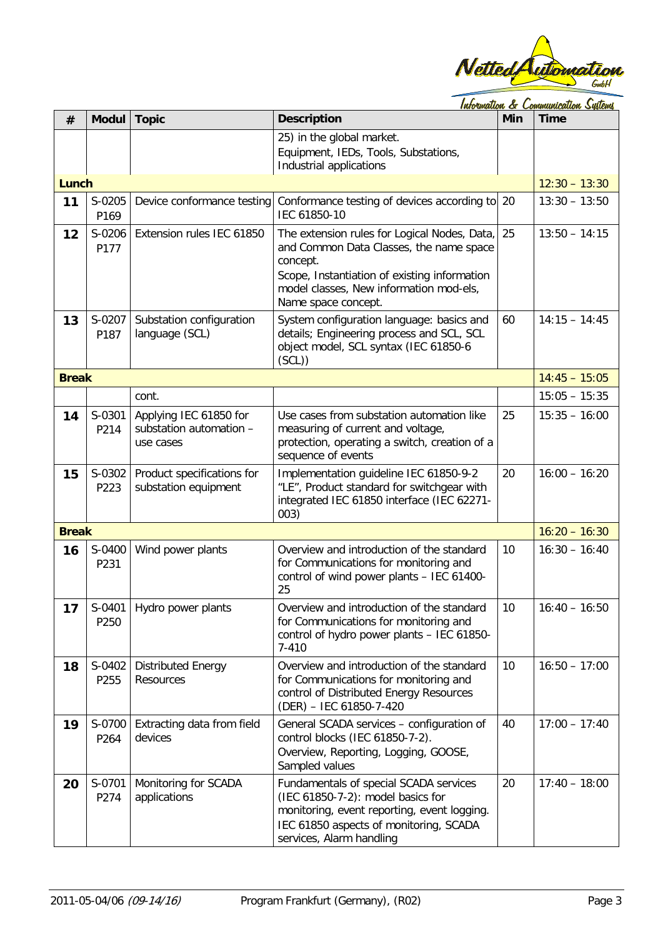

<u>Information & Communication Systems</u>

| #            | <b>Modul</b>   | <b>Topic</b>                                                   | <b>Description</b>                                                                                                                                                                                                    | Min | <b>Time</b>     |
|--------------|----------------|----------------------------------------------------------------|-----------------------------------------------------------------------------------------------------------------------------------------------------------------------------------------------------------------------|-----|-----------------|
|              |                |                                                                | 25) in the global market.<br>Equipment, IEDs, Tools, Substations,                                                                                                                                                     |     |                 |
|              |                |                                                                | Industrial applications                                                                                                                                                                                               |     |                 |
| <b>Lunch</b> |                |                                                                |                                                                                                                                                                                                                       |     | $12:30 - 13:30$ |
| 11           | S-0205<br>P169 | Device conformance testing                                     | Conformance testing of devices according to 20<br>IEC 61850-10                                                                                                                                                        |     | $13:30 - 13:50$ |
| 12           | S-0206<br>P177 | Extension rules IEC 61850                                      | The extension rules for Logical Nodes, Data,<br>and Common Data Classes, the name space<br>concept.<br>Scope, Instantiation of existing information<br>model classes, New information mod-els,<br>Name space concept. | 25  | $13:50 - 14:15$ |
| 13           | S-0207<br>P187 | Substation configuration<br>language (SCL)                     | System configuration language: basics and<br>details; Engineering process and SCL, SCL<br>object model, SCL syntax (IEC 61850-6<br>(SCL)                                                                              | 60  | $14:15 - 14:45$ |
| <b>Break</b> |                |                                                                |                                                                                                                                                                                                                       |     | $14:45 - 15:05$ |
|              |                | cont.                                                          |                                                                                                                                                                                                                       |     | $15:05 - 15:35$ |
| 14           | S-0301<br>P214 | Applying IEC 61850 for<br>substation automation -<br>use cases | Use cases from substation automation like<br>measuring of current and voltage,<br>protection, operating a switch, creation of a<br>sequence of events                                                                 | 25  | $15:35 - 16:00$ |
| 15           | S-0302<br>P223 | Product specifications for<br>substation equipment             | Implementation guideline IEC 61850-9-2<br>"LE", Product standard for switchgear with<br>integrated IEC 61850 interface (IEC 62271-<br>003)                                                                            | 20  | $16:00 - 16:20$ |
| <b>Break</b> |                |                                                                |                                                                                                                                                                                                                       |     | $16:20 - 16:30$ |
| 16           | S-0400<br>P231 | Wind power plants                                              | Overview and introduction of the standard<br>for Communications for monitoring and<br>control of wind power plants - IEC 61400-<br>25                                                                                 | 10  | $16:30 - 16:40$ |
| 17           | P250           | S-0401 Hydro power plants                                      | Overview and introduction of the standard<br>for Communications for monitoring and<br>control of hydro power plants - IEC 61850-<br>$7 - 410$                                                                         | 10  | $16:40 - 16:50$ |
| 18           | S-0402<br>P255 | <b>Distributed Energy</b><br>Resources                         | Overview and introduction of the standard<br>for Communications for monitoring and<br>control of Distributed Energy Resources<br>(DER) - IEC 61850-7-420                                                              | 10  | $16:50 - 17:00$ |
| 19           | S-0700<br>P264 | Extracting data from field<br>devices                          | General SCADA services - configuration of<br>control blocks (IEC 61850-7-2).<br>Overview, Reporting, Logging, GOOSE,<br>Sampled values                                                                                | 40  | $17:00 - 17:40$ |
| 20           | S-0701<br>P274 | Monitoring for SCADA<br>applications                           | Fundamentals of special SCADA services<br>(IEC 61850-7-2): model basics for<br>monitoring, event reporting, event logging.<br>IEC 61850 aspects of monitoring, SCADA<br>services, Alarm handling                      | 20  | $17:40 - 18:00$ |